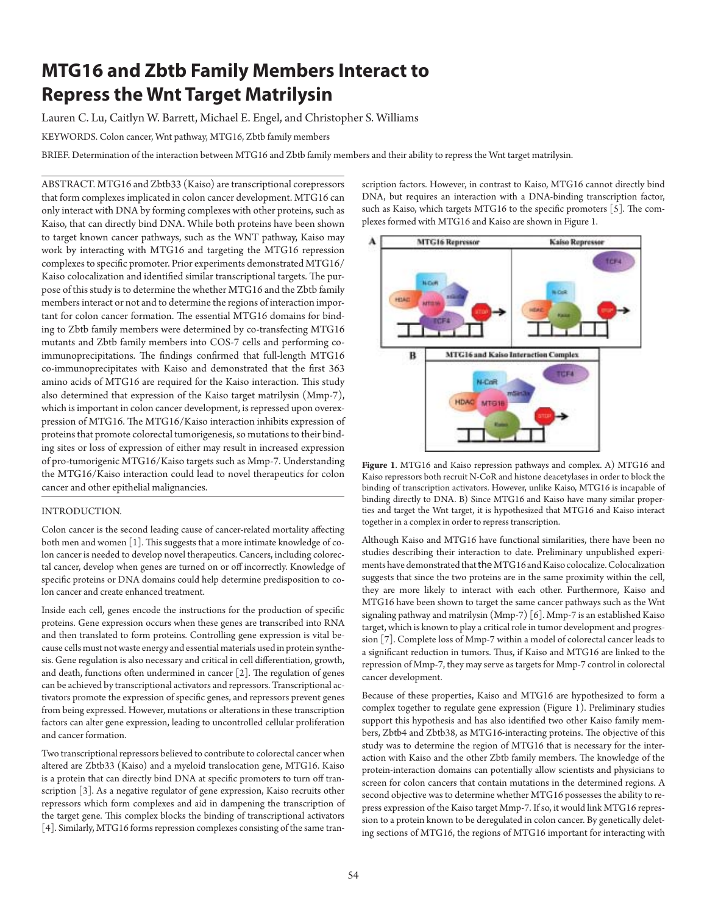# **MTG16 and Zbtb Family Members Interact to Repress the Wnt Target Matrilysin**

Lauren C. Lu, Caitlyn W. Barrett, Michael E. Engel, and Christopher S. Williams

KEYWORDS. Colon cancer, Wnt pathway, MTG16, Zbtb family members

BRIEF . Determination of the interaction between MTG16 and Zbtb family members and their ability to repress the Wnt target matrilysin.

ABSTRACT. MTG16 and Zbtb33 (Kaiso) are transcriptional corepressors that form complexes implicated in colon cancer development. MTG16 can only interact with DNA by forming complexes with other proteins, such as Kaiso, that can directly bind DNA. While both proteins have been shown to target known cancer pathways, such as the WNT pathway, Kaiso may work by interacting with MTG16 and targeting the MTG16 repression complexes to specific promoter. Prior experiments demonstrated MTG16/ Kaiso colocalization and identified similar transcriptional targets. The purpose of this study is to determine the whether MTG16 and the Zbtb family members interact or not and to determine the regions of interaction important for colon cancer formation. The essential MTG16 domains for binding to Zbtb family members were determined by co-transfecting MTG16 mutants and Zbtb family members into COS-7 cells and performing coimmunoprecipitations. The findings confirmed that full-length MTG16 co-immunoprecipitates with Kaiso and demonstrated that the first 363 amino acids of MTG16 are required for the Kaiso interaction. This study also determined that expression of the Kaiso target matrilysin (Mmp-7), which is important in colon cancer development, is repressed upon overexpression of MTG16. The MTG16/Kaiso interaction inhibits expression of proteins that promote colorectal tumorigenesis, so mutations to their binding sites or loss of expression of either may result in increased expression of pro-tumorigenic MTG16/Kaiso targets such as Mmp-7. Understanding the MTG16/Kaiso interaction could lead to novel therapeutics for colon cancer and other epithelial malignancies.

### INTRODUCTION.

Colon cancer is the second leading cause of cancer-related mortality affecting both men and women  $[1]$ . This suggests that a more intimate knowledge of colon cancer is needed to develop novel therapeutics. Cancers, including colorectal cancer, develop when genes are turned on or off incorrectly. Knowledge of specific proteins or DNA domains could help determine predisposition to colon cancer and create enhanced treatment.

Inside each cell, genes encode the instructions for the production of specific proteins. Gene expression occurs when these genes are transcribed into RNA and then translated to form proteins. Controlling gene expression is vital because cells must not waste energy and essential materials used in protein synthesis. Gene regulation is also necessary and critical in cell differentiation, growth, and death, functions often undermined in cancer  $[2]$ . The regulation of genes can be achieved by transcriptional activators and repressors. Transcriptional activators promote the expression of specific genes, and repressors prevent genes from being expressed. However, mutations or alterations in these transcription factors can alter gene expression, leading to uncontrolled cellular proliferation and cancer formation.

Two transcriptional repressors believed to contribute to colorectal cancer when altered are Zbtb33 (Kaiso) and a myeloid translocation gene, MTG16. Kaiso is a protein that can directly bind DNA at specific promoters to turn off transcription [3]. As a negative regulator of gene expression, Kaiso recruits other repressors which form complexes and aid in dampening the transcription of the target gene. This complex blocks the binding of transcriptional activators [4]. Similarly, MTG16 forms repression complexes consisting of the same tran-

scription factors. However, in contrast to Kaiso, MTG16 cannot directly bind DNA, but requires an interaction with a DNA-binding transcription factor, such as Kaiso, which targets MTG16 to the specific promoters  $[5]$ . The complexes formed with MTG16 and Kaiso are shown in Figure 1.



**Figure 1**. MTG16 and Kaiso repression pathways and complex. A) MTG16 and Kaiso repressors both recruit N-CoR and histone deacetylases in order to block the binding of transcription activators. However, unlike Kaiso, MTG16 is incapable of binding directly to DNA. B) Since MTG16 and Kaiso have many similar properties and target the Wnt target, it is hypothesized that MTG16 and Kaiso interact together in a complex in order to repress transcription.

Although Kaiso and MTG16 have functional similarities, there have been no studies describing their interaction to date. Preliminary unpublished experiments have demonstrated that the MTG16 and Kaiso colocalize. Colocalization suggests that since the two proteins are in the same proximity within the cell, they are more likely to interact with each other. Furthermore, Kaiso and MTG16 have been shown to target the same cancer pathways such as the Wnt signaling pathway and matrilysin (Mmp-7) [6]. Mmp-7 is an established Kaiso target, which is known to play a critical role in tumor development and progression [7]. Complete loss of Mmp-7 within a model of colorectal cancer leads to a significant reduction in tumors. Thus, if Kaiso and MTG16 are linked to the repression of Mmp-7, they may serve as targets for Mmp-7 control in colorectal cancer development.

Because of these properties, Kaiso and MTG16 are hypothesized to form a complex together to regulate gene expression (Figure 1). Preliminary studies support this hypothesis and has also identified two other Kaiso family members, Zbtb4 and Zbtb38, as MTG16-interacting proteins. The objective of this study was to determine the region of MTG16 that is necessary for the interaction with Kaiso and the other Zbtb family members. The knowledge of the protein-interaction domains can potentially allow scientists and physicians to screen for colon cancers that contain mutations in the determined regions. A second objective was to determine whether MTG16 possesses the ability to repress expression of the Kaiso target Mmp-7. If so, it would link MTG16 repression to a protein known to be deregulated in colon cancer. By genetically deleting sections of MTG16, the regions of MTG16 important for interacting with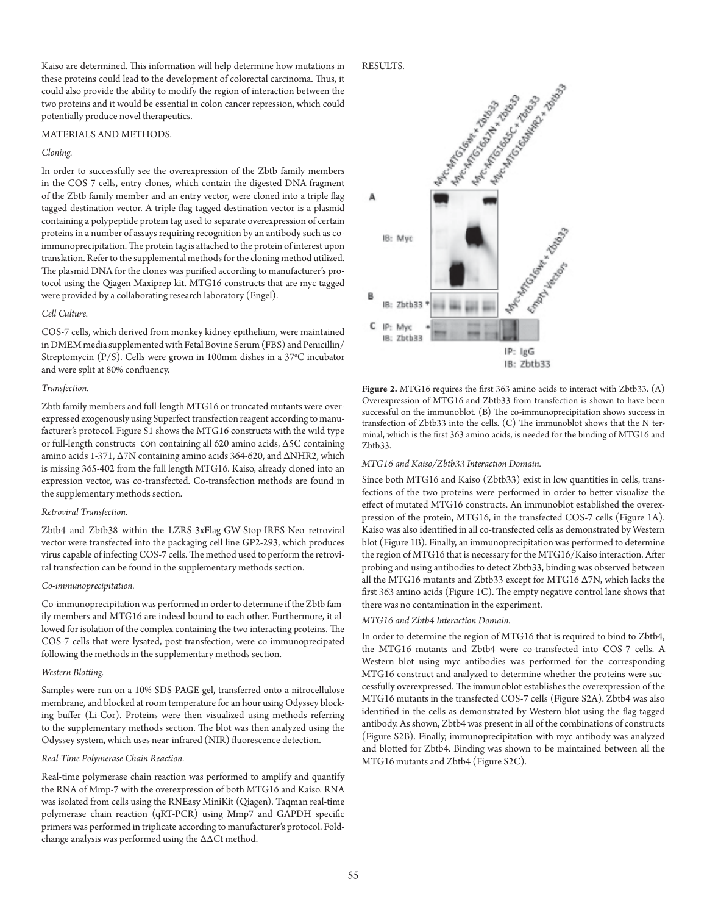Kaiso are determined. This information will help determine how mutations in these proteins could lead to the development of colorectal carcinoma. Thus, it could also provide the ability to modify the region of interaction between the two proteins and it would be essential in colon cancer repression, which could potentially produce novel therapeutics.

## MATERIALS AND METHODS.

# *Cloning.*

In order to successfully see the overexpression of the Zbtb family members in the COS-7 cells, entry clones, which contain the digested DNA fragment of the Zbtb family member and an entry vector, were cloned into a triple flag tagged destination vector. A triple flag tagged destination vector is a plasmid containing a polypeptide protein tag used to separate overexpression of certain proteins in a number of assays requiring recognition by an antibody such as coimmunoprecipitation. The protein tag is attached to the protein of interest upon translation. Refer to the supplemental methods for the cloning method utilized. The plasmid DNA for the clones was purified according to manufacturer's protocol using the Qiagen Maxiprep kit. MTG16 constructs that are myc tagged were provided by a collaborating research laboratory (Engel).

### *Cell Culture.*

COS-7 cells, which derived from monkey kidney epithelium, were maintained in DMEM media supplemented with Fetal Bovine Serum (FBS) and Penicillin/ Streptomycin (P/S). Cells were grown in 100mm dishes in a 37°C incubator and were split at 80% confluency.

#### *Transfection.*

Zbtb family members and full-length MTG16 or truncated mutants were overexpressed exogenously using Superfect transfection reagent according to manufacturer's protocol. Figure S1 shows the MTG16 constructs with the wild type or full-length constructs con containing all 620 amino acids, Δ5C containing amino acids 1-371, Δ7N containing amino acids 364-620, and ΔNHR2, which is missing 365-402 from the full length MTG16. Kaiso, already cloned into an expression vector, was co-transfected. Co-transfection methods are found in the supplementary methods section.

#### *Retroviral Transfection.*

Zbtb4 and Zbtb38 within the LZRS-3xFlag-GW-Stop-IRES-Neo retroviral vector were transfected into the packaging cell line GP2-293, which produces virus capable of infecting COS-7 cells. The method used to perform the retroviral transfection can be found in the supplementary methods section.

## *Co*-*immunoprecipitation.*

Co-immunoprecipitation was performed in order to determine if the Zbtb family members and MTG16 are indeed bound to each other. Furthermore, it allowed for isolation of the complex containing the two interacting proteins. The COS-7 cells that were lysated, post-transfection, were co-immunoprecipated following the methods in the supplementary methods section.

## *Western Blotting.*

Samples were run on a 10% SDS-PAGE gel, transferred onto a nitrocellulose membrane, and blocked at room temperature for an hour using Odyssey blocking buffer (Li-Cor). Proteins were then visualized using methods referring to the supplementary methods section. The blot was then analyzed using the Odyssey system, which uses near-infrared (NIR) fluorescence detection.

## *Real-Time Polymerase Chain Reaction.*

Real-time polymerase chain reaction was performed to amplify and quantify the RNA of Mmp-7 with the overexpression of both MTG16 and Kaiso. RNA was isolated from cells using the RNEasy MiniKit (Qiagen). Taqman real-time polymerase chain reaction (qRT-PCR) using Mmp7 and GAPDH specific primers was performed in triplicate according to manufacturer's protocol. Foldchange analysis was performed using the ∆∆Ct method.

#### RESULTS.



**Figure 2.** MTG16 requires the first 363 amino acids to interact with Zbtb33. (A) Overexpression of MTG16 and Zbtb33 from transfection is shown to have been successful on the immunoblot. (B) The co-immunoprecipitation shows success in transfection of Zbtb33 into the cells.  $(C)$  The immunoblot shows that the N terminal, which is the first 363 amino acids, is needed for the binding of MTG16 and Zbtb33.

#### *MTG16 and Kaiso/Zbtb33 Interaction Domain.*

Since both MTG16 and Kaiso (Zbtb33) exist in low quantities in cells, transfections of the two proteins were performed in order to better visualize the effect of mutated MTG16 constructs. An immunoblot established the overexpression of the protein, MTG16, in the transfected COS-7 cells (Figure 1A). Kaiso was also identified in all co-transfected cells as demonstrated by Western blot (Figure 1B). Finally, an immunoprecipitation was performed to determine the region of MTG16 that is necessary for the MTG16/Kaiso interaction. After probing and using antibodies to detect Zbtb33, binding was observed between all the MTG16 mutants and Zbtb33 except for MTG16 Δ7N, which lacks the first 363 amino acids (Figure 1C). The empty negative control lane shows that there was no contamination in the experiment.

## *MTG16 and Zbtb4 Interaction Domain.*

In order to determine the region of MTG16 that is required to bind to Zbtb4, the MTG16 mutants and Zbtb4 were co-transfected into COS-7 cells. A Western blot using myc antibodies was performed for the corresponding MTG16 construct and analyzed to determine whether the proteins were successfully overexpressed. The immunoblot establishes the overexpression of the MTG16 mutants in the transfected COS-7 cells (Figure S2A). Zbtb4 was also identified in the cells as demonstrated by Western blot using the flag-tagged antibody. As shown, Zbtb4 was present in all of the combinations of constructs (Figure S2B). Finally, immunoprecipitation with myc antibody was analyzed and blotted for Zbtb4. Binding was shown to be maintained between all the MTG16 mutants and Zbtb4 (Figure S2C).